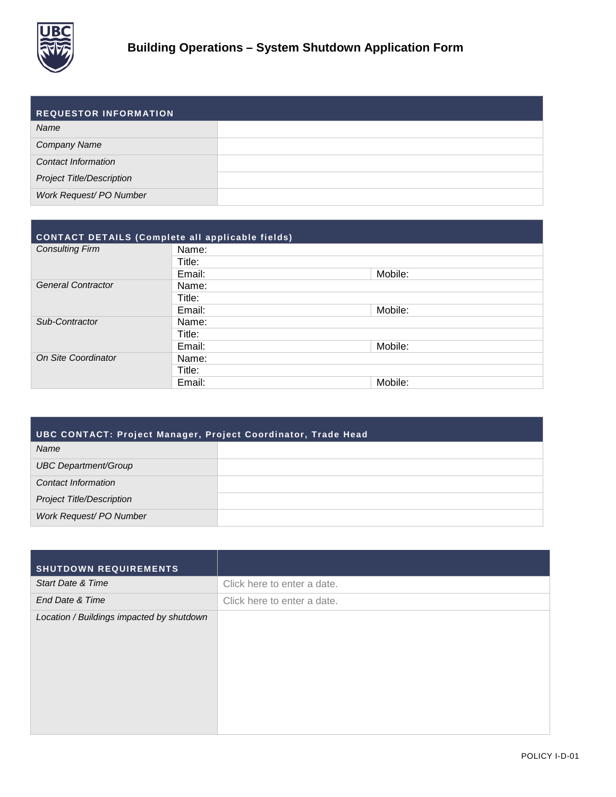

| <b>REQUESTOR INFORMATION</b>     |  |
|----------------------------------|--|
| Name                             |  |
| <b>Company Name</b>              |  |
| <b>Contact Information</b>       |  |
| <b>Project Title/Description</b> |  |
| Work Request/ PO Number          |  |

| CONTACT DETAILS (Complete all applicable fields) |        |         |  |  |  |
|--------------------------------------------------|--------|---------|--|--|--|
| <b>Consulting Firm</b>                           | Name:  |         |  |  |  |
|                                                  | Title: |         |  |  |  |
|                                                  | Email: | Mobile: |  |  |  |
| <b>General Contractor</b>                        | Name:  |         |  |  |  |
|                                                  | Title: |         |  |  |  |
|                                                  | Email: | Mobile: |  |  |  |
| Sub-Contractor                                   | Name:  |         |  |  |  |
|                                                  | Title: |         |  |  |  |
|                                                  | Email: | Mobile: |  |  |  |
| On Site Coordinator                              | Name:  |         |  |  |  |
|                                                  | Title: |         |  |  |  |
|                                                  | Email: | Mobile: |  |  |  |

| UBC CONTACT: Project Manager, Project Coordinator, Trade Head |  |  |  |  |
|---------------------------------------------------------------|--|--|--|--|
| Name                                                          |  |  |  |  |
| UBC Department/Group                                          |  |  |  |  |
| Contact Information                                           |  |  |  |  |
| <b>Project Title/Description</b>                              |  |  |  |  |
| Work Request/ PO Number                                       |  |  |  |  |

| <b>SHUTDOWN REQUIREMENTS</b>              |                             |
|-------------------------------------------|-----------------------------|
| <b>Start Date &amp; Time</b>              | Click here to enter a date. |
| End Date & Time                           | Click here to enter a date. |
| Location / Buildings impacted by shutdown |                             |